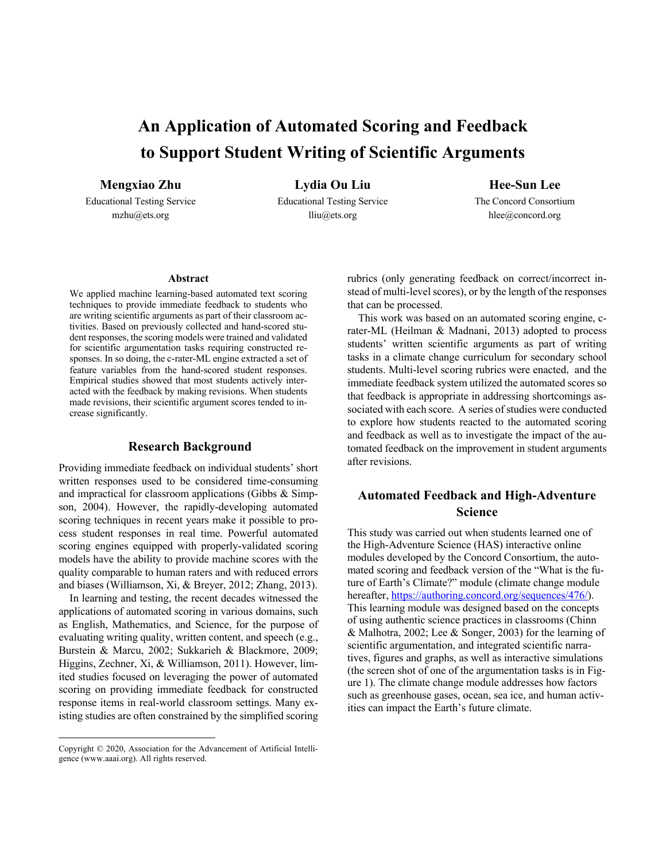# **An Application of Automated Scoring and Feedback to Support Student Writing of Scientific Arguments**

**Mengxiao Zhu**

Educational Testing Service mzhu@ets.org

**Lydia Ou Liu**

Educational Testing Service lliu@ets.org

**Hee-Sun Lee**

The Concord Consortium hlee@concord.org

#### **Abstract**

We applied machine learning-based automated text scoring techniques to provide immediate feedback to students who are writing scientific arguments as part of their classroom activities. Based on previously collected and hand-scored student responses, the scoring models were trained and validated for scientific argumentation tasks requiring constructed responses. In so doing, the c-rater-ML engine extracted a set of feature variables from the hand-scored student responses. Empirical studies showed that most students actively interacted with the feedback by making revisions. When students made revisions, their scientific argument scores tended to increase significantly.

## **Research Background**

Providing immediate feedback on individual students' short written responses used to be considered time-consuming and impractical for classroom applications (Gibbs & Simpson, 2004). However, the rapidly-developing automated scoring techniques in recent years make it possible to process student responses in real time. Powerful automated scoring engines equipped with properly-validated scoring models have the ability to provide machine scores with the quality comparable to human raters and with reduced errors and biases (Williamson, Xi, & Breyer, 2012; Zhang, 2013).

In learning and testing, the recent decades witnessed the applications of automated scoring in various domains, such as English, Mathematics, and Science, for the purpose of evaluating writing quality, written content, and speech (e.g., Burstein & Marcu, 2002; Sukkarieh & Blackmore, 2009; Higgins, Zechner, Xi, & Williamson, 2011). However, limited studies focused on leveraging the power of automated scoring on providing immediate feedback for constructed response items in real-world classroom settings. Many existing studies are often constrained by the simplified scoring rubrics (only generating feedback on correct/incorrect instead of multi-level scores), or by the length of the responses that can be processed.

This work was based on an automated scoring engine, crater-ML (Heilman & Madnani, 2013) adopted to process students' written scientific arguments as part of writing tasks in a climate change curriculum for secondary school students. Multi-level scoring rubrics were enacted, and the immediate feedback system utilized the automated scores so that feedback is appropriate in addressing shortcomings associated with each score. A series of studies were conducted to explore how students reacted to the automated scoring and feedback as well as to investigate the impact of the automated feedback on the improvement in student arguments after revisions.

## **Automated Feedback and High-Adventure Science**

This study was carried out when students learned one of the High-Adventure Science (HAS) interactive online modules developed by the Concord Consortium, the automated scoring and feedback version of the "What is the future of Earth's Climate?" module (climate change module hereafter, https://authoring.concord.org/sequences/476/). This learning module was designed based on the concepts of using authentic science practices in classrooms (Chinn & Malhotra, 2002; Lee & Songer, 2003) for the learning of scientific argumentation, and integrated scientific narratives, figures and graphs, as well as interactive simulations (the screen shot of one of the argumentation tasks is in Figure 1). The climate change module addresses how factors such as greenhouse gases, ocean, sea ice, and human activities can impact the Earth's future climate.

Copyright © 2020, Association for the Advancement of Artificial Intelligence (www.aaai.org). All rights reserved.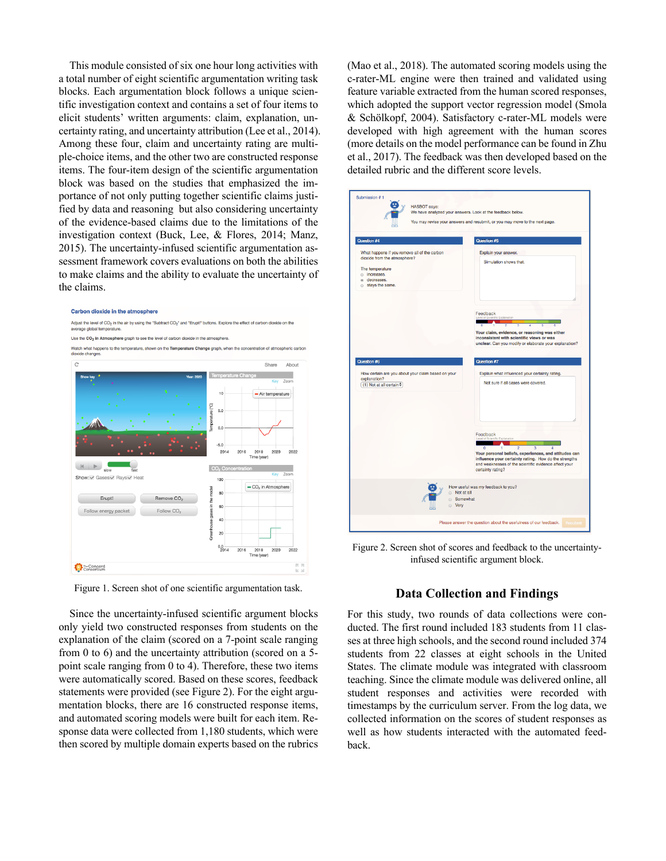This module consisted of six one hour long activities with a total number of eight scientific argumentation writing task blocks. Each argumentation block follows a unique scientific investigation context and contains a set of four items to elicit students' written arguments: claim, explanation, uncertainty rating, and uncertainty attribution (Lee et al., 2014). Among these four, claim and uncertainty rating are multiple-choice items, and the other two are constructed response items. The four-item design of the scientific argumentation block was based on the studies that emphasized the importance of not only putting together scientific claims justified by data and reasoning but also considering uncertainty of the evidence-based claims due to the limitations of the investigation context (Buck, Lee, & Flores, 2014; Manz, 2015). The uncertainty-infused scientific argumentation assessment framework covers evaluations on both the abilities to make claims and the ability to evaluate the uncertainty of the claims.



Figure 1. Screen shot of one scientific argumentation task.

Since the uncertainty-infused scientific argument blocks only yield two constructed responses from students on the explanation of the claim (scored on a 7-point scale ranging from 0 to 6) and the uncertainty attribution (scored on a 5 point scale ranging from 0 to 4). Therefore, these two items were automatically scored. Based on these scores, feedback statements were provided (see Figure 2). For the eight argumentation blocks, there are 16 constructed response items, and automated scoring models were built for each item. Response data were collected from 1,180 students, which were then scored by multiple domain experts based on the rubrics

(Mao et al., 2018). The automated scoring models using the c-rater-ML engine were then trained and validated using feature variable extracted from the human scored responses, which adopted the support vector regression model (Smola & Schölkopf, 2004). Satisfactory c-rater-ML models were developed with high agreement with the human scores (more details on the model performance can be found in Zhu et al., 2017). The feedback was then developed based on the detailed rubric and the different score levels.



Figure 2. Screen shot of scores and feedback to the uncertaintyinfused scientific argument block.

## **Data Collection and Findings**

For this study, two rounds of data collections were conducted. The first round included 183 students from 11 classes at three high schools, and the second round included 374 students from 22 classes at eight schools in the United States. The climate module was integrated with classroom teaching. Since the climate module was delivered online, all student responses and activities were recorded with timestamps by the curriculum server. From the log data, we collected information on the scores of student responses as well as how students interacted with the automated feedback.